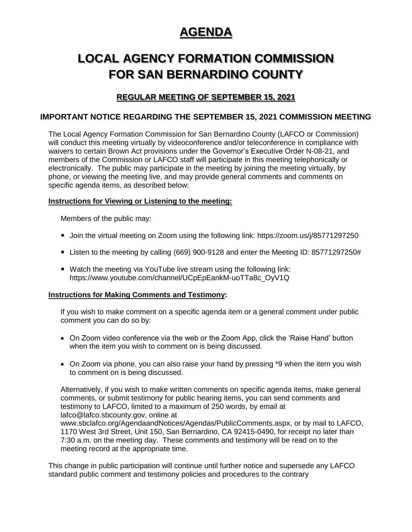# **AGENDA**

# **LOCAL AGENCY FORMATION COMMISSION FOR SAN BERNARDINO COUNTY**

# **REGULAR MEETING OF SEPTEMBER 15, 2021**

## **IMPORTANT NOTICE REGARDING THE SEPTEMBER 15, 2021 COMMISSION MEETING**

The Local Agency Formation Commission for San Bernardino County (LAFCO or Commission) will conduct this meeting virtually by videoconference and/or teleconference in compliance with waivers to certain Brown Act provisions under the Governor's Executive Order N-08-21, and members of the Commission or LAFCO staff will participate in this meeting telephonically or electronically. The public may participate in the meeting by joining the meeting virtually, by phone, or viewing the meeting live, and may provide general comments and comments on specific agenda items, as described below:

### **Instructions for Viewing or Listening to the meeting:**

Members of the public may:

- Join the virtual meeting on Zoom using the following link:<https://zoom.us/j/85771297250>
- Listen to the meeting by calling (669) 900-9128 and enter the Meeting ID: 85771297250#
- Watch the meeting via YouTube live stream using the following link: [https://www.youtube.com/channel/UCpEpEankM-uoTTa8c\\_OyV1Q](https://www.youtube.com/channel/UCpEpEankM-uoTTa8c_OyV1Q)

### **Instructions for Making Comments and Testimony:**

If you wish to make comment on a specific agenda item or a general comment under public comment you can do so by:

- On Zoom video conference via the web or the Zoom App, click the 'Raise Hand' button when the item you wish to comment on is being discussed.
- On Zoom via phone, you can also raise your hand by pressing \*9 when the item you wish to comment on is being discussed.

Alternatively, if you wish to make written comments on specific agenda items, make general comments, or submit testimony for public hearing items, you can send comments and testimony to LAFCO, limited to a maximum of 250 words, by email at lafco@lafco.sbcounty.gov, online at www.sbclafco.org/AgendaandNotices/Agendas/PublicComments.aspx, or by mail to LAFCO, 1170 West 3rd Street, Unit 150, San Bernardino, CA 92415-0490, for receipt no later than 7:30 a.m. on the meeting day. These comments and testimony will be read on to the meeting record at the appropriate time.

This change in public participation will continue until further notice and supersede any LAFCO standard public comment and testimony policies and procedures to the contrary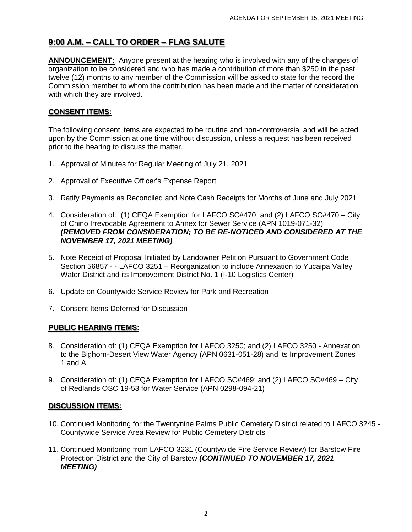# **9:00 A.M. – CALL TO ORDER – FLAG SALUTE**

**ANNOUNCEMENT:** Anyone present at the hearing who is involved with any of the changes of organization to be considered and who has made a contribution of more than \$250 in the past twelve (12) months to any member of the Commission will be asked to state for the record the Commission member to whom the contribution has been made and the matter of consideration with which they are involved.

## **CONSENT ITEMS:**

The following consent items are expected to be routine and non-controversial and will be acted upon by the Commission at one time without discussion, unless a request has been received prior to the hearing to discuss the matter.

- 1. Approval of Minutes for Regular Meeting of July 21, 2021
- 2. Approval of Executive Officer's Expense Report
- 3. Ratify Payments as Reconciled and Note Cash Receipts for Months of June and July 2021
- 4. Consideration of: (1) CEQA Exemption for LAFCO SC#470; and (2) LAFCO SC#470 City of Chino Irrevocable Agreement to Annex for Sewer Service (APN 1019-071-32) *(REMOVED FROM CONSIDERATION; TO BE RE-NOTICED AND CONSIDERED AT THE NOVEMBER 17, 2021 MEETING)*
- 5. Note Receipt of Proposal Initiated by Landowner Petition Pursuant to Government Code Section 56857 - - LAFCO 3251 – Reorganization to include Annexation to Yucaipa Valley Water District and its Improvement District No. 1 (I-10 Logistics Center)
- 6. Update on Countywide Service Review for Park and Recreation
- 7. Consent Items Deferred for Discussion

### **PUBLIC HEARING ITEMS:**

- 8. Consideration of: (1) CEQA Exemption for LAFCO 3250; and (2) LAFCO 3250 Annexation to the Bighorn-Desert View Water Agency (APN 0631-051-28) and its Improvement Zones 1 and A
- 9. Consideration of: (1) CEQA Exemption for LAFCO SC#469; and (2) LAFCO SC#469 City of Redlands OSC 19-53 for Water Service (APN 0298-094-21)

### **DISCUSSION ITEMS:**

- 10. Continued Monitoring for the Twentynine Palms Public Cemetery District related to LAFCO 3245 Countywide Service Area Review for Public Cemetery Districts
- 11. Continued Monitoring from LAFCO 3231 (Countywide Fire Service Review) for Barstow Fire Protection District and the City of Barstow *(CONTINUED TO NOVEMBER 17, 2021 MEETING)*